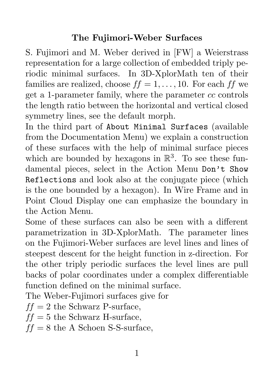## The Fujimori-Weber Surfaces

S. Fujimori and M. Weber derived in [FW] a Weierstrass representation for a large collection of embedded triply periodic minimal surfaces. In 3D-XplorMath ten of their families are realized, choose  $ff = 1, \ldots, 10$ . For each  $ff$  we get a 1-parameter family, where the parameter *cc* controls the length ratio between the horizontal and vertical closed symmetry lines, see the default morph.

In the third part of About Minimal Surfaces (available from the Documentation Menu) we explain a construction of these surfaces with the help of minimal surface pieces which are bounded by hexagons in  $\mathbb{R}^3$ . To see these fundamental pieces, select in the Action Menu Don't Show Reflections and look also at the conjugate piece (which is the one bounded by a hexagon). In Wire Frame and in Point Cloud Display one can emphasize the boundary in the Action Menu.

Some of these surfaces can also be seen with a different parametrization in 3D-XplorMath. The parameter lines on the Fujimori-Weber surfaces are level lines and lines of steepest descent for the height function in z-direction. For the other triply periodic surfaces the level lines are pull backs of polar coordinates under a complex differentiable function defined on the minimal surface.

The Weber-Fujimori surfaces give for

 $ff = 2$  the Schwarz P-surface,

 $ff = 5$  the Schwarz H-surface,

 $ff = 8$  the A Schoen S-S-surface,